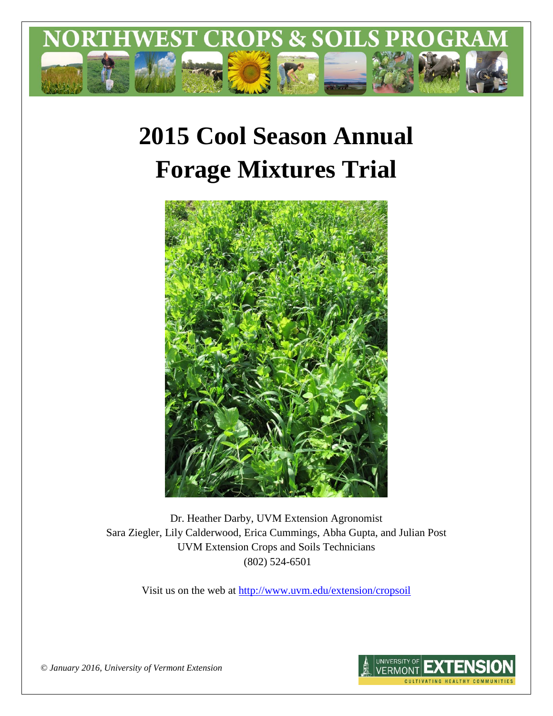

# **2015 Cool Season Annual Forage Mixtures Trial**



Dr. Heather Darby, UVM Extension Agronomist Sara Ziegler, Lily Calderwood, Erica Cummings, Abha Gupta, and Julian Post UVM Extension Crops and Soils Technicians (802) 524-6501

Visit us on the web at <http://www.uvm.edu/extension/cropsoil>



*© January 2016, University of Vermont Extension*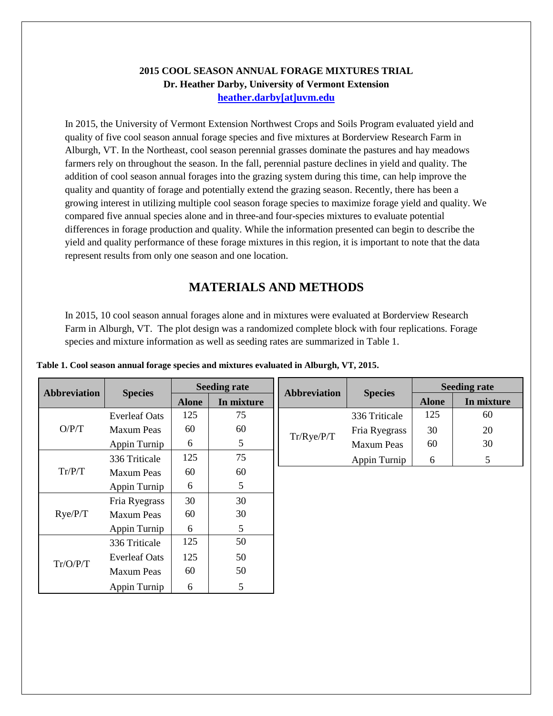#### **2015 COOL SEASON ANNUAL FORAGE MIXTURES TRIAL Dr. Heather Darby, University of Vermont Extension [heather.darby\[at\]uvm.edu](mailto:heather.darby@uvm.edu?subject=2013%20Long%20Season%20Corn%20Report)**

In 2015, the University of Vermont Extension Northwest Crops and Soils Program evaluated yield and quality of five cool season annual forage species and five mixtures at Borderview Research Farm in Alburgh, VT. In the Northeast, cool season perennial grasses dominate the pastures and hay meadows farmers rely on throughout the season. In the fall, perennial pasture declines in yield and quality. The addition of cool season annual forages into the grazing system during this time, can help improve the quality and quantity of forage and potentially extend the grazing season. Recently, there has been a growing interest in utilizing multiple cool season forage species to maximize forage yield and quality. We compared five annual species alone and in three-and four-species mixtures to evaluate potential differences in forage production and quality. While the information presented can begin to describe the yield and quality performance of these forage mixtures in this region, it is important to note that the data represent results from only one season and one location.

# **MATERIALS AND METHODS**

In 2015, 10 cool season annual forages alone and in mixtures were evaluated at Borderview Research Farm in Alburgh, VT. The plot design was a randomized complete block with four replications. Forage species and mixture information as well as seeding rates are summarized in Table 1.

| <b>Abbreviation</b> | <b>Species</b>       | <b>Seeding rate</b> |                | <b>Abbreviation</b> | <b>Species</b>    | <b>Seeding rate</b> |            |
|---------------------|----------------------|---------------------|----------------|---------------------|-------------------|---------------------|------------|
|                     |                      | <b>Alone</b>        | In mixture     |                     |                   | <b>Alone</b>        | In mixture |
| O/P/T               | <b>Everleaf Oats</b> | 125                 | 75             |                     | 336 Triticale     | 125                 | 60         |
|                     | <b>Maxum Peas</b>    | 60                  | 60             | Tr/Rye/P/T          | Fria Ryegrass     | 30                  | 20         |
|                     | Appin Turnip         | 6                   | 5              |                     | <b>Maxum Peas</b> | 60                  | 30         |
|                     | 336 Triticale        | 125                 | 75             |                     | Appin Turnip      | 6                   | 5          |
| Tr/P/T              | <b>Maxum Peas</b>    | 60                  | 60             |                     |                   |                     |            |
|                     | Appin Turnip         | 6                   | 5              |                     |                   |                     |            |
|                     | Fria Ryegrass        | 30                  | 30             |                     |                   |                     |            |
| Rye/P/T             | <b>Maxum Peas</b>    | 60                  | 30             |                     |                   |                     |            |
|                     | Appin Turnip         | 6                   | 5              |                     |                   |                     |            |
|                     | 336 Triticale        | 125                 | 50             |                     |                   |                     |            |
|                     | <b>Everleaf Oats</b> | 125                 | 50             |                     |                   |                     |            |
| Tr/O/P/T            | <b>Maxum Peas</b>    | 60                  | 50             |                     |                   |                     |            |
|                     | Appin Turnip         | 6                   | $\mathfrak{S}$ |                     |                   |                     |            |
|                     |                      |                     |                |                     |                   |                     |            |
|                     |                      |                     |                |                     |                   |                     |            |
|                     |                      |                     |                |                     |                   |                     |            |

**Table 1. Cool season annual forage species and mixtures evaluated in Alburgh, VT, 2015.**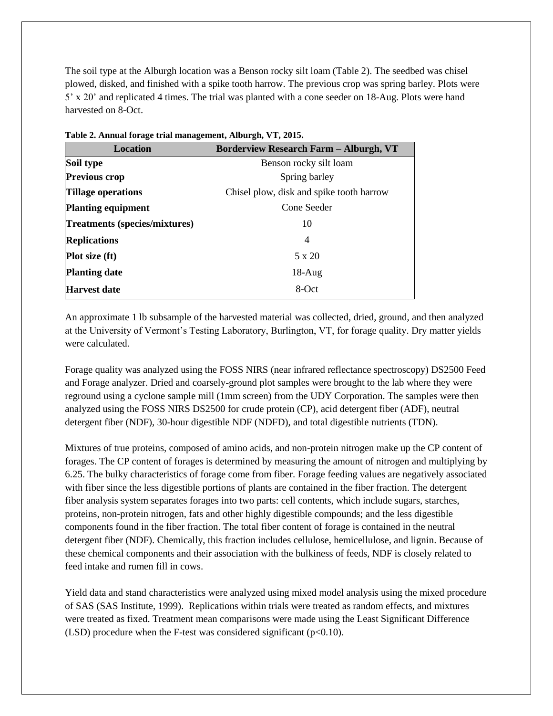The soil type at the Alburgh location was a Benson rocky silt loam (Table 2). The seedbed was chisel plowed, disked, and finished with a spike tooth harrow. The previous crop was spring barley. Plots were 5' x 20' and replicated 4 times. The trial was planted with a cone seeder on 18-Aug. Plots were hand harvested on 8-Oct.

| <b>Location</b>                      | <b>Borderview Research Farm - Alburgh, VT</b> |  |  |
|--------------------------------------|-----------------------------------------------|--|--|
| Soil type                            | Benson rocky silt loam                        |  |  |
| <b>Previous crop</b>                 | Spring barley                                 |  |  |
| <b>Tillage operations</b>            | Chisel plow, disk and spike tooth harrow      |  |  |
| <b>Planting equipment</b>            | Cone Seeder                                   |  |  |
| <b>Treatments (species/mixtures)</b> | 10                                            |  |  |
| <b>Replications</b>                  | 4                                             |  |  |
| Plot size (ft)                       | 5 x 20                                        |  |  |
| <b>Planting date</b>                 | $18-Aug$                                      |  |  |
| <b>Harvest date</b>                  | 8-Oct                                         |  |  |
|                                      |                                               |  |  |

**Table 2. Annual forage trial management, Alburgh, VT, 2015.**

An approximate 1 lb subsample of the harvested material was collected, dried, ground, and then analyzed at the University of Vermont's Testing Laboratory, Burlington, VT, for forage quality. Dry matter yields were calculated.

Forage quality was analyzed using the FOSS NIRS (near infrared reflectance spectroscopy) DS2500 Feed and Forage analyzer. Dried and coarsely-ground plot samples were brought to the lab where they were reground using a cyclone sample mill (1mm screen) from the UDY Corporation. The samples were then analyzed using the FOSS NIRS DS2500 for crude protein (CP), acid detergent fiber (ADF), neutral detergent fiber (NDF), 30-hour digestible NDF (NDFD), and total digestible nutrients (TDN).

Mixtures of true proteins, composed of amino acids, and non-protein nitrogen make up the CP content of forages. The CP content of forages is determined by measuring the amount of nitrogen and multiplying by 6.25. The bulky characteristics of forage come from fiber. Forage feeding values are negatively associated with fiber since the less digestible portions of plants are contained in the fiber fraction. The detergent fiber analysis system separates forages into two parts: cell contents, which include sugars, starches, proteins, non-protein nitrogen, fats and other highly digestible compounds; and the less digestible components found in the fiber fraction. The total fiber content of forage is contained in the neutral detergent fiber (NDF). Chemically, this fraction includes cellulose, hemicellulose, and lignin. Because of these chemical components and their association with the bulkiness of feeds, NDF is closely related to feed intake and rumen fill in cows.

Yield data and stand characteristics were analyzed using mixed model analysis using the mixed procedure of SAS (SAS Institute, 1999). Replications within trials were treated as random effects, and mixtures were treated as fixed. Treatment mean comparisons were made using the Least Significant Difference (LSD) procedure when the F-test was considered significant ( $p<0.10$ ).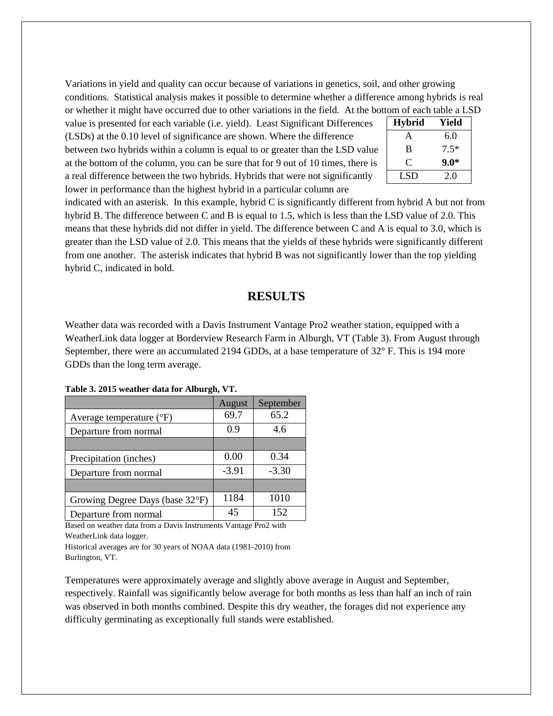Variations in yield and quality can occur because of variations in genetics, soil, and other growing conditions. Statistical analysis makes it possible to determine whether a difference among hybrids is real or whether it might have occurred due to other variations in the field. At the bottom of each table a LSD

value is presented for each variable (i.e. yield). Least Significant Differences (LSDs) at the 0.10 level of significance are shown. Where the difference between two hybrids within a column is equal to or greater than the LSD value at the bottom of the column, you can be sure that for 9 out of 10 times, there is a real difference between the two hybrids. Hybrids that were not significantly lower in performance than the highest hybrid in a particular column are

| <b>Hybrid</b> | Yield  |
|---------------|--------|
| A             | 6.0    |
| B             | $7.5*$ |
| ⊖             | $9.0*$ |
| LSD           | 2.0    |

indicated with an asterisk. In this example, hybrid C is significantly different from hybrid A but not from hybrid B. The difference between C and B is equal to 1.5, which is less than the LSD value of 2.0. This means that these hybrids did not differ in yield. The difference between C and A is equal to 3.0, which is greater than the LSD value of 2.0. This means that the yields of these hybrids were significantly different from one another. The asterisk indicates that hybrid B was not significantly lower than the top yielding hybrid C, indicated in bold.

## **RESULTS**

Weather data was recorded with a Davis Instrument Vantage Pro2 weather station, equipped with a WeatherLink data logger at Borderview Research Farm in Alburgh, VT (Table 3). From August through September, there were an accumulated 2194 GDDs, at a base temperature of 32° F. This is 194 more GDDs than the long term average.

|                                     | August  | September |
|-------------------------------------|---------|-----------|
| Average temperature $({}^{\circ}F)$ | 69.7    | 65.2      |
| Departure from normal               | 0.9     | 4.6       |
|                                     |         |           |
| Precipitation (inches)              | 0.00    | 0.34      |
| Departure from normal               | $-3.91$ | $-3.30$   |
|                                     |         |           |
| Growing Degree Days (base 32°F)     | 1184    | 1010      |
| Departure from normal               | 45      | 152       |

**Table 3. 2015 weather data for Alburgh, VT.**

Based on weather data from a Davis Instruments Vantage Pro2 with WeatherLink data logger.

Historical averages are for 30 years of NOAA data (1981-2010) from Burlington, VT.

Temperatures were approximately average and slightly above average in August and September, respectively. Rainfall was significantly below average for both months as less than half an inch of rain was observed in both months combined. Despite this dry weather, the forages did not experience any difficulty germinating as exceptionally full stands were established.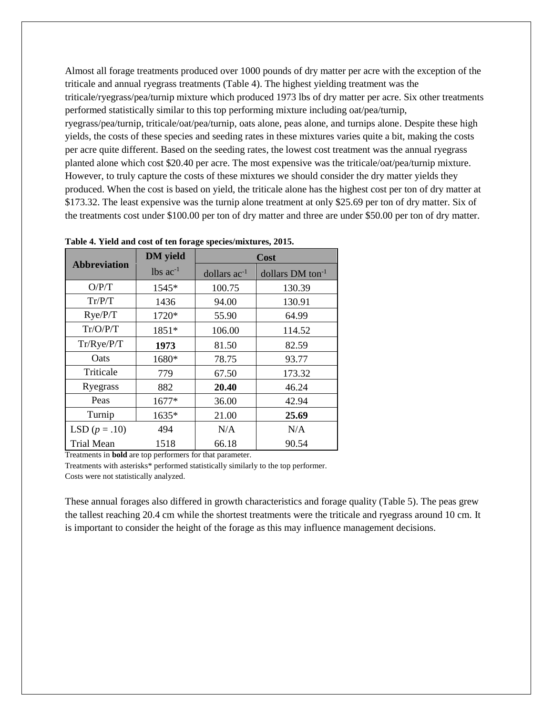Almost all forage treatments produced over 1000 pounds of dry matter per acre with the exception of the triticale and annual ryegrass treatments (Table 4). The highest yielding treatment was the triticale/ryegrass/pea/turnip mixture which produced 1973 lbs of dry matter per acre. Six other treatments performed statistically similar to this top performing mixture including oat/pea/turnip, ryegrass/pea/turnip, triticale/oat/pea/turnip, oats alone, peas alone, and turnips alone. Despite these high yields, the costs of these species and seeding rates in these mixtures varies quite a bit, making the costs per acre quite different. Based on the seeding rates, the lowest cost treatment was the annual ryegrass planted alone which cost \$20.40 per acre. The most expensive was the triticale/oat/pea/turnip mixture. However, to truly capture the costs of these mixtures we should consider the dry matter yields they produced. When the cost is based on yield, the triticale alone has the highest cost per ton of dry matter at \$173.32. The least expensive was the turnip alone treatment at only \$25.69 per ton of dry matter. Six of the treatments cost under \$100.00 per ton of dry matter and three are under \$50.00 per ton of dry matter.

| .                   |                        |                   |                              |  |  |
|---------------------|------------------------|-------------------|------------------------------|--|--|
|                     | <b>DM</b> yield        | Cost              |                              |  |  |
| <b>Abbreviation</b> | $lbs$ ac <sup>-1</sup> | dollars $ac^{-1}$ | dollars DM ton <sup>-1</sup> |  |  |
| O/P/T               | 1545*                  | 100.75            | 130.39                       |  |  |
| Tr/P/T              | 1436                   | 94.00             | 130.91                       |  |  |
| Rye/P/T             | 1720*                  | 55.90             | 64.99                        |  |  |
| Tr/O/P/T            | 1851*                  | 106.00            | 114.52                       |  |  |
| Tr/Rye/P/T          | 1973                   | 81.50             | 82.59                        |  |  |
| Oats                | 1680*                  | 78.75             | 93.77                        |  |  |
| Triticale           | 779                    | 67.50             | 173.32                       |  |  |
| Ryegrass            | 882                    | 20.40             | 46.24                        |  |  |
| Peas                | 1677*                  | 36.00             | 42.94                        |  |  |
| Turnip              | 1635*                  | 21.00             | 25.69                        |  |  |
| LSD $(p=.10)$       | 494                    | N/A               | N/A                          |  |  |
| <b>Trial Mean</b>   | 1518                   | 66.18             | 90.54                        |  |  |

**Table 4. Yield and cost of ten forage species/mixtures, 2015.**

Treatments in **bold** are top performers for that parameter.

Treatments with asterisks\* performed statistically similarly to the top performer. Costs were not statistically analyzed.

These annual forages also differed in growth characteristics and forage quality (Table 5). The peas grew the tallest reaching 20.4 cm while the shortest treatments were the triticale and ryegrass around 10 cm. It is important to consider the height of the forage as this may influence management decisions.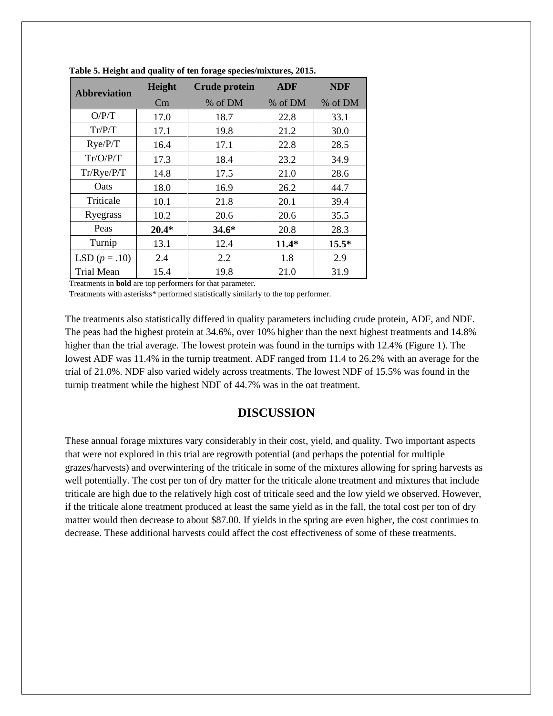| <b>Abbreviation</b> | Height  | <b>Crude protein</b> | <b>ADF</b> | <b>NDF</b> |
|---------------------|---------|----------------------|------------|------------|
|                     | Cm      | % of DM              | % of DM    | % of DM    |
| O/P/T               | 17.0    | 18.7                 | 22.8       | 33.1       |
| Tr/P/T              | 17.1    | 19.8                 | 21.2       | 30.0       |
| Rye/P/T             | 16.4    | 17.1                 | 22.8       | 28.5       |
| Tr/O/PT             | 17.3    | 18.4                 | 23.2       | 34.9       |
| Tr/Rye/P/T          | 14.8    | 17.5                 | 21.0       | 28.6       |
| Oats                | 18.0    | 16.9                 | 26.2       | 44.7       |
| Triticale           | 10.1    | 21.8                 | 20.1       | 39.4       |
| Ryegrass            | 10.2    | 20.6                 | 20.6       | 35.5       |
| Peas                | $20.4*$ | $34.6*$              | 20.8       | 28.3       |
| Turnip              | 13.1    | 12.4                 | $11.4*$    | $15.5*$    |
| LSD $(p=.10)$       | 2.4     | 2.2                  | 1.8        | 2.9        |
| Trial Mean          | 15.4    | 19.8                 | 21.0       | 31.9       |

**Table 5. Height and quality of ten forage species/mixtures, 2015.**

Treatments in **bold** are top performers for that parameter.

Treatments with asterisks\* performed statistically similarly to the top performer.

The treatments also statistically differed in quality parameters including crude protein, ADF, and NDF. The peas had the highest protein at 34.6%, over 10% higher than the next highest treatments and 14.8% higher than the trial average. The lowest protein was found in the turnips with 12.4% (Figure 1). The lowest ADF was 11.4% in the turnip treatment. ADF ranged from 11.4 to 26.2% with an average for the trial of 21.0%. NDF also varied widely across treatments. The lowest NDF of 15.5% was found in the turnip treatment while the highest NDF of 44.7% was in the oat treatment.

#### **DISCUSSION**

These annual forage mixtures vary considerably in their cost, yield, and quality. Two important aspects that were not explored in this trial are regrowth potential (and perhaps the potential for multiple grazes/harvests) and overwintering of the triticale in some of the mixtures allowing for spring harvests as well potentially. The cost per ton of dry matter for the triticale alone treatment and mixtures that include triticale are high due to the relatively high cost of triticale seed and the low yield we observed. However, if the triticale alone treatment produced at least the same yield as in the fall, the total cost per ton of dry matter would then decrease to about \$87.00. If yields in the spring are even higher, the cost continues to decrease. These additional harvests could affect the cost effectiveness of some of these treatments.